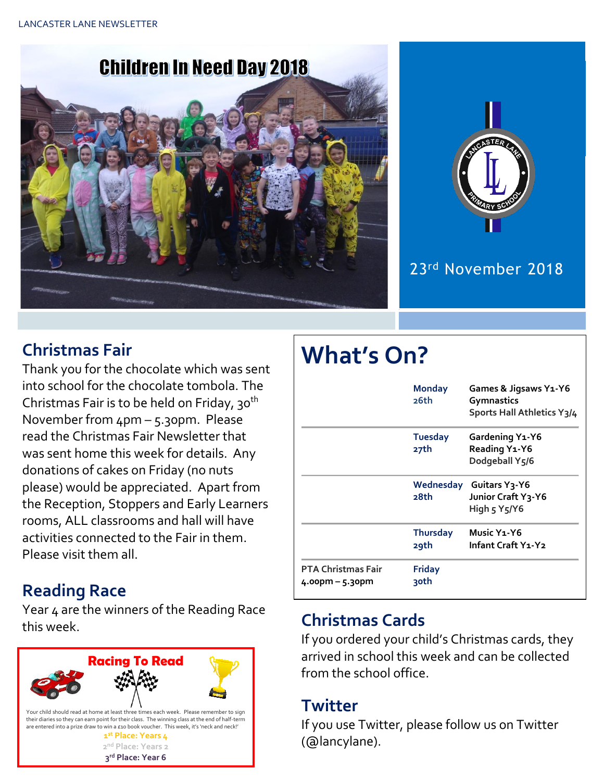



#### 23rd November 2018

#### **Christmas Fair**

Thank you for the chocolate which was sent into school for the chocolate tombola. The Christmas Fair is to be held on Friday, 30<sup>th</sup> November from 4pm – 5.30pm. Please read the Christmas Fair Newsletter that was sent home this week for details. Any donations of cakes on Friday (no nuts please) would be appreciated. Apart from the Reception, Stoppers and Early Learners rooms, ALL classrooms and hall will have activities connected to the Fair in them. Please visit them all.

#### **Reading Race**

Year 4 are the winners of the Reading Race this week. **Christmas Cards**



# **What's On?**

|                                                | <b>Monday</b><br>26th   | Games & Jigsaws Y1-Y6<br>Gymnastics<br>Sports Hall Athletics Y3/4                        |
|------------------------------------------------|-------------------------|------------------------------------------------------------------------------------------|
|                                                | <b>Tuesday</b><br>27th  | <b>Gardening Y1-Y6</b><br>Reading Y <sub>1</sub> -Y6<br>Dodgeball Y5/6                   |
|                                                | 28th                    | Wednesday Guitars Y3-Y6<br>Junior Craft Y3-Y6<br>High $5$ Y <sub>5</sub> /Y <sub>6</sub> |
|                                                | <b>Thursday</b><br>29th | Music Y <sub>1</sub> -Y <sub>6</sub><br>Infant Craft Y1-Y2                               |
| <b>PTA Christmas Fair</b><br>$4.00pm - 5.30pm$ | <b>Friday</b><br>30th   |                                                                                          |

If you ordered your child's Christmas cards, they arrived in school this week and can be collected from the school office.

#### **Twitter**

If you use Twitter, please follow us on Twitter (@lancylane).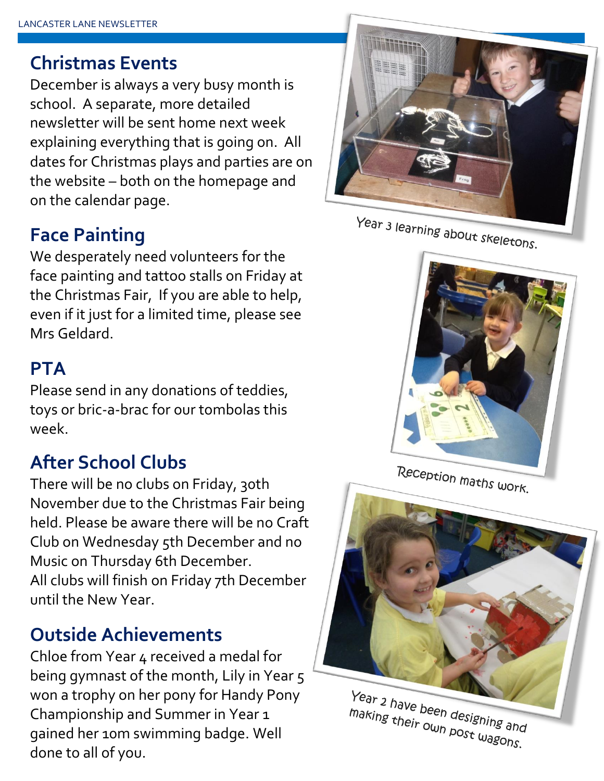# **Christmas Events**

December is always a very busy month is school. A separate, more detailed newsletter will be sent home next week explaining everything that is going on. All dates for Christmas plays and parties are on the website – both on the homepage and on the calendar page.

# **Face Painting**

We desperately need volunteers for the face painting and tattoo stalls on Friday at the Christmas Fair, If you are able to help, even if it just for a limited time, please see Mrs Geldard.

#### **PTA**

Please send in any donations of teddies, toys or bric-a-brac for our tombolas this week.

# **After School Clubs**

There will be no clubs on Friday, 30th November due to the Christmas Fair being held. Please be aware there will be no Craft Club on Wednesday 5th December and no Music on Thursday 6th December. All clubs will finish on Friday 7th December until the New Year.

# **Outside Achievements**

Chloe from Year 4 received a medal for being gymnast of the month, Lily in Year 5 won a trophy on her pony for Handy Pony Championship and Summer in Year 1 gained her 10m swimming badge. Well done to all of you.



Year 3 learning about skeletons.



Reception maths work.



Year 2 have been designing and making their own designing and<br>making their own post wagons.